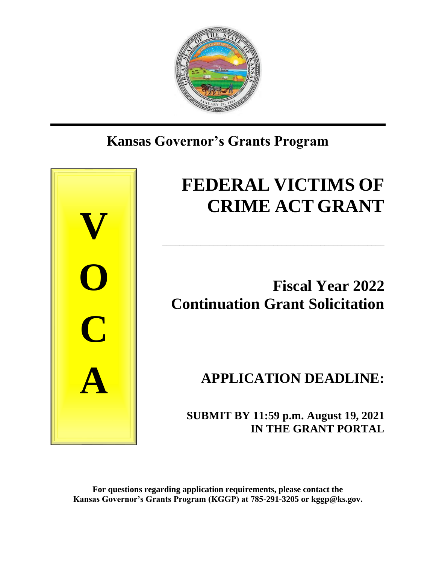

# **Kansas Governor's Grants Program**



# **FEDERAL VICTIMS OF CRIME ACT GRANT**

# **Fiscal Year 2022 Continuation Grant Solicitation**

\_\_\_\_\_\_\_\_\_\_\_\_\_\_\_\_\_\_\_\_\_\_\_\_\_\_\_\_\_\_\_\_\_\_\_\_\_\_\_\_\_\_\_\_\_\_\_\_\_\_\_\_

# **APPLICATION DEADLINE:**

 **SUBMIT BY 11:59 p.m. August 19, 2021 IN THE GRANT PORTAL**

**For questions regarding application requirements, please contact the Kansas Governor's Grants Program (KGGP) at 785-291-3205 or kggp@ks.gov.**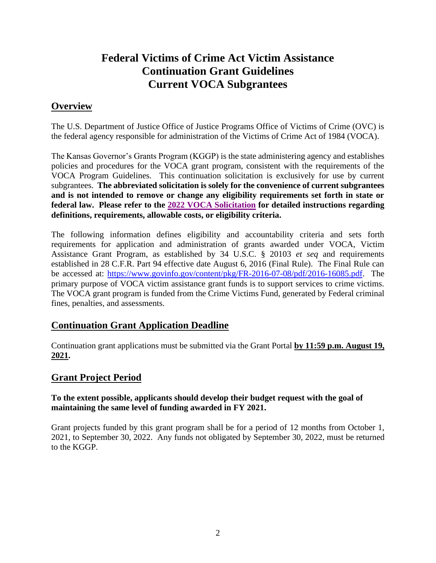# **Federal Victims of Crime Act Victim Assistance Continuation Grant Guidelines Current VOCA Subgrantees**

# **Overview**

The U.S. Department of Justice Office of Justice Programs Office of Victims of Crime (OVC) is the federal agency responsible for administration of the Victims of Crime Act of 1984 (VOCA).

The Kansas Governor's Grants Program (KGGP) is the state administering agency and establishes policies and procedures for the VOCA grant program, consistent with the requirements of the VOCA Program Guidelines. This continuation solicitation is exclusively for use by current subgrantees. **The abbreviated solicitation is solely for the convenience of current subgrantees and is not intended to remove or change any eligibility requirements set forth in state or federal law. Please refer to the 2022 [VOCA Solicitation](https://grants.ks.gov/docs/default-source/voca/2022-voca-new-app-7-15-21.pdf?sfvrsn=b1315e1a_2) for detailed instructions regarding definitions, requirements, allowable costs, or eligibility criteria.**

The following information defines eligibility and accountability criteria and sets forth requirements for application and administration of grants awarded under VOCA, Victim Assistance Grant Program, as established by 34 U.S.C. § 20103 *et seq* and requirements established in 28 C.F.R. Part 94 effective date August 6, 2016 (Final Rule). The Final Rule can be accessed at: [https://www.govinfo.gov/content/pkg/FR-2016-07-08/pdf/2016-16085.pdf.](https://www.govinfo.gov/content/pkg/FR-2016-07-08/pdf/2016-16085.pdf) The primary purpose of VOCA victim assistance grant funds is to support services to crime victims. The VOCA grant program is funded from the Crime Victims Fund, generated by Federal criminal fines, penalties, and assessments.

# **Continuation Grant Application Deadline**

Continuation grant applications must be submitted via the Grant Portal **by 11:59 p.m. August 19, 2021.**

# **Grant Project Period**

#### **To the extent possible, applicants should develop their budget request with the goal of maintaining the same level of funding awarded in FY 2021.**

Grant projects funded by this grant program shall be for a period of 12 months from October 1, 2021, to September 30, 2022. Any funds not obligated by September 30, 2022, must be returned to the KGGP.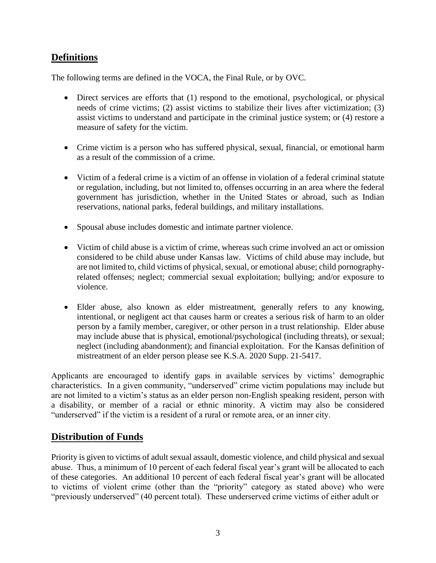# **Definitions**

The following terms are defined in the VOCA, the Final Rule, or by OVC.

- Direct services are efforts that (1) respond to the emotional, psychological, or physical needs of crime victims; (2) assist victims to stabilize their lives after victimization; (3) assist victims to understand and participate in the criminal justice system; or (4) restore a measure of safety for the victim.
- Crime victim is a person who has suffered physical, sexual, financial, or emotional harm as a result of the commission of a crime.
- Victim of a federal crime is a victim of an offense in violation of a federal criminal statute or regulation, including, but not limited to, offenses occurring in an area where the federal government has jurisdiction, whether in the United States or abroad, such as Indian reservations, national parks, federal buildings, and military installations.
- Spousal abuse includes domestic and intimate partner violence.
- Victim of child abuse is a victim of crime, whereas such crime involved an act or omission considered to be child abuse under Kansas law. Victims of child abuse may include, but are not limited to, child victims of physical, sexual, or emotional abuse; child pornographyrelated offenses; neglect; commercial sexual exploitation; bullying; and/or exposure to violence.
- Elder abuse, also known as elder mistreatment, generally refers to any knowing, intentional, or negligent act that causes harm or creates a serious risk of harm to an older person by a family member, caregiver, or other person in a trust relationship. Elder abuse may include abuse that is physical, emotional/psychological (including threats), or sexual; neglect (including abandonment); and financial exploitation. For the Kansas definition of mistreatment of an elder person please see K.S.A. 2020 Supp. 21-5417.

Applicants are encouraged to identify gaps in available services by victims' demographic characteristics. In a given community, "underserved" crime victim populations may include but are not limited to a victim's status as an elder person non-English speaking resident, person with a disability, or member of a racial or ethnic minority. A victim may also be considered "underserved" if the victim is a resident of a rural or remote area, or an inner city.

# **Distribution of Funds**

Priority is given to victims of adult sexual assault, domestic violence, and child physical and sexual abuse. Thus, a minimum of 10 percent of each federal fiscal year's grant will be allocated to each of these categories. An additional 10 percent of each federal fiscal year's grant will be allocated to victims of violent crime (other than the "priority" category as stated above) who were "previously underserved" (40 percent total). These underserved crime victims of either adult or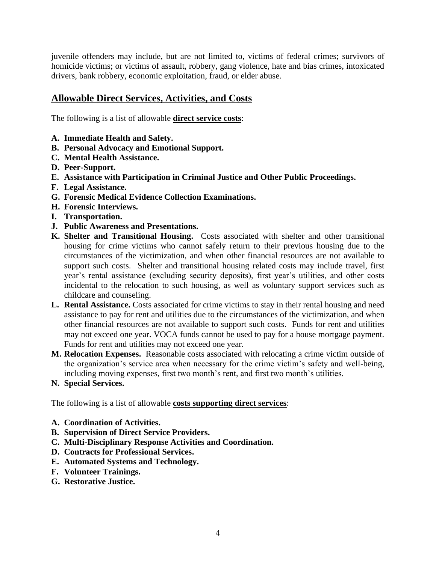juvenile offenders may include, but are not limited to, victims of federal crimes; survivors of homicide victims; or victims of assault, robbery, gang violence, hate and bias crimes, intoxicated drivers, bank robbery, economic exploitation, fraud, or elder abuse.

# **Allowable Direct Services, Activities, and Costs**

The following is a list of allowable **direct service costs**:

- **A. Immediate Health and Safety.**
- **B. Personal Advocacy and Emotional Support.**
- **C. Mental Health Assistance.**
- **D. Peer-Support.**
- **E. Assistance with Participation in Criminal Justice and Other Public Proceedings.**
- **F. Legal Assistance.**
- **G. Forensic Medical Evidence Collection Examinations.**
- **H. Forensic Interviews.**
- **I. Transportation.**
- **J. Public Awareness and Presentations.**
- **K. Shelter and Transitional Housing.** Costs associated with shelter and other transitional housing for crime victims who cannot safely return to their previous housing due to the circumstances of the victimization, and when other financial resources are not available to support such costs. Shelter and transitional housing related costs may include travel, first year's rental assistance (excluding security deposits), first year's utilities, and other costs incidental to the relocation to such housing, as well as voluntary support services such as childcare and counseling.
- **L. Rental Assistance.** Costs associated for crime victims to stay in their rental housing and need assistance to pay for rent and utilities due to the circumstances of the victimization, and when other financial resources are not available to support such costs. Funds for rent and utilities may not exceed one year. VOCA funds cannot be used to pay for a house mortgage payment. Funds for rent and utilities may not exceed one year.
- **M. Relocation Expenses.** Reasonable costs associated with relocating a crime victim outside of the organization's service area when necessary for the crime victim's safety and well-being, including moving expenses, first two month's rent, and first two month's utilities.
- **N. Special Services.**

The following is a list of allowable **costs supporting direct services**:

- **A. Coordination of Activities.**
- **B. Supervision of Direct Service Providers.**
- **C. Multi-Disciplinary Response Activities and Coordination.**
- **D. Contracts for Professional Services.**
- **E. Automated Systems and Technology.**
- **F. Volunteer Trainings.**
- **G. Restorative Justice.**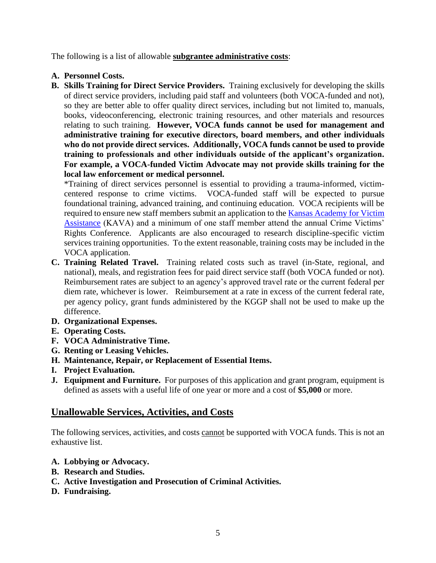The following is a list of allowable **subgrantee administrative costs**:

- **A. Personnel Costs.**
- **B. Skills Training for Direct Service Providers.** Training exclusively for developing the skills of direct service providers, including paid staff and volunteers (both VOCA-funded and not), so they are better able to offer quality direct services, including but not limited to, manuals, books, videoconferencing, electronic training resources, and other materials and resources relating to such training. **However, VOCA funds cannot be used for management and administrative training for executive directors, board members, and other individuals who do not provide direct services. Additionally, VOCA funds cannot be used to provide training to professionals and other individuals outside of the applicant's organization. For example, a VOCA-funded Victim Advocate may not provide skills training for the local law enforcement or medical personnel.**

\*Training of direct services personnel is essential to providing a trauma-informed, victimcentered response to crime victims. VOCA-funded staff will be expected to pursue foundational training, advanced training, and continuing education. VOCA recipients will be required to ensure new staff members submit an application to the Kansas Academy for Victim [Assistance](https://www.surveymonkey.com/r/7YVNLXQ) (KAVA) and a minimum of one staff member attend the annual Crime Victims' Rights Conference. Applicants are also encouraged to research discipline-specific victim services training opportunities. To the extent reasonable, training costs may be included in the VOCA application.

- **C. Training Related Travel.** Training related costs such as travel (in-State, regional, and national), meals, and registration fees for paid direct service staff (both VOCA funded or not). Reimbursement rates are subject to an agency's approved travel rate or the current federal per diem rate, whichever is lower. Reimbursement at a rate in excess of the current federal rate, per agency policy, grant funds administered by the KGGP shall not be used to make up the difference.
- **D. Organizational Expenses.**
- **E. Operating Costs.**
- **F. VOCA Administrative Time.**
- **G. Renting or Leasing Vehicles.**
- **H. Maintenance, Repair, or Replacement of Essential Items.**
- **I. Project Evaluation.**
- **J. Equipment and Furniture.** For purposes of this application and grant program, equipment is defined as assets with a useful life of one year or more and a cost of **\$5,000** or more.

# **Unallowable Services, Activities, and Costs**

The following services, activities, and costs cannot be supported with VOCA funds. This is not an exhaustive list.

- **A. Lobbying or Advocacy.**
- **B. Research and Studies.**
- **C. Active Investigation and Prosecution of Criminal Activities.**
- **D. Fundraising.**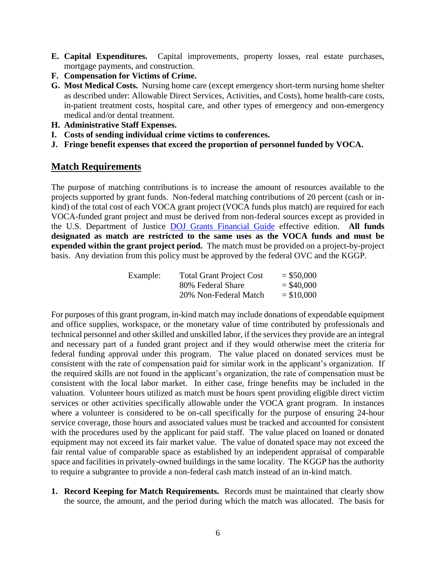- **E. Capital Expenditures.** Capital improvements, property losses, real estate purchases, mortgage payments, and construction.
- **F. Compensation for Victims of Crime.**
- **G. Most Medical Costs.** Nursing home care (except emergency short-term nursing home shelter as described under: Allowable Direct Services, Activities, and Costs), home health-care costs, in-patient treatment costs, hospital care, and other types of emergency and non-emergency medical and/or dental treatment.
- **H. Administrative Staff Expenses.**
- **I. Costs of sending individual crime victims to conferences.**
- **J. Fringe benefit expenses that exceed the proportion of personnel funded by VOCA.**

#### **Match Requirements**

The purpose of matching contributions is to increase the amount of resources available to the projects supported by grant funds. Non-federal matching contributions of 20 percent (cash or inkind) of the total cost of each VOCA grant project (VOCA funds plus match) are required for each VOCA-funded grant project and must be derived from non-federal sources except as provided in the U.S. Department of Justice [DOJ Grants Financial Guide](http://ojp.gov/financialguide/DOJ/index.htm) effective edition. **All funds designated as match are restricted to the same uses as the VOCA funds and must be expended within the grant project period.** The match must be provided on a project-by-project basis. Any deviation from this policy must be approved by the federal OVC and the KGGP.

| Example: | <b>Total Grant Project Cost</b> | $=$ \$50,000 |
|----------|---------------------------------|--------------|
|          | 80% Federal Share               | $=$ \$40,000 |
|          | 20% Non-Federal Match           | $= $10,000$  |

For purposes of this grant program, in-kind match may include donations of expendable equipment and office supplies, workspace, or the monetary value of time contributed by professionals and technical personnel and other skilled and unskilled labor, if the services they provide are an integral and necessary part of a funded grant project and if they would otherwise meet the criteria for federal funding approval under this program. The value placed on donated services must be consistent with the rate of compensation paid for similar work in the applicant's organization. If the required skills are not found in the applicant's organization, the rate of compensation must be consistent with the local labor market. In either case, fringe benefits may be included in the valuation. Volunteer hours utilized as match must be hours spent providing eligible direct victim services or other activities specifically allowable under the VOCA grant program. In instances where a volunteer is considered to be on-call specifically for the purpose of ensuring 24-hour service coverage, those hours and associated values must be tracked and accounted for consistent with the procedures used by the applicant for paid staff. The value placed on loaned or donated equipment may not exceed its fair market value. The value of donated space may not exceed the fair rental value of comparable space as established by an independent appraisal of comparable space and facilities in privately-owned buildings in the same locality. The KGGP has the authority to require a subgrantee to provide a non-federal cash match instead of an in-kind match.

**1. Record Keeping for Match Requirements.** Records must be maintained that clearly show the source, the amount, and the period during which the match was allocated. The basis for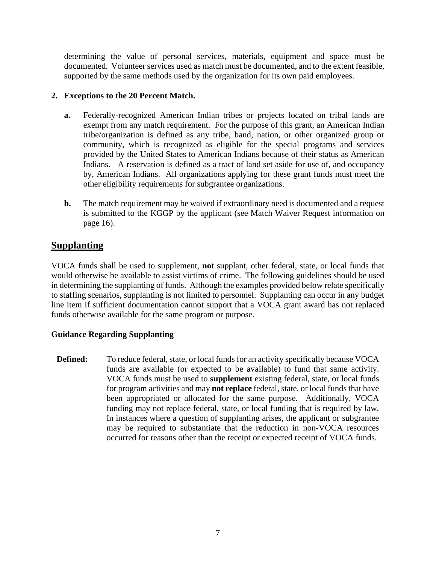determining the value of personal services, materials, equipment and space must be documented. Volunteer services used as match must be documented, and to the extent feasible, supported by the same methods used by the organization for its own paid employees.

#### **2. Exceptions to the 20 Percent Match.**

- **a.** Federally-recognized American Indian tribes or projects located on tribal lands are exempt from any match requirement. For the purpose of this grant, an American Indian tribe/organization is defined as any tribe, band, nation, or other organized group or community, which is recognized as eligible for the special programs and services provided by the United States to American Indians because of their status as American Indians. A reservation is defined as a tract of land set aside for use of, and occupancy by, American Indians. All organizations applying for these grant funds must meet the other eligibility requirements for subgrantee organizations.
- **b.** The match requirement may be waived if extraordinary need is documented and a request is submitted to the KGGP by the applicant (see Match Waiver Request information on page 16).

# **Supplanting**

VOCA funds shall be used to supplement, **not** supplant, other federal, state, or local funds that would otherwise be available to assist victims of crime. The following guidelines should be used in determining the supplanting of funds. Although the examples provided below relate specifically to staffing scenarios, supplanting is not limited to personnel. Supplanting can occur in any budget line item if sufficient documentation cannot support that a VOCA grant award has not replaced funds otherwise available for the same program or purpose.

#### **Guidance Regarding Supplanting**

**Defined:** To reduce federal, state, or local funds for an activity specifically because VOCA funds are available (or expected to be available) to fund that same activity. VOCA funds must be used to **supplement** existing federal, state, or local funds for program activities and may **not replace** federal, state, or local funds that have been appropriated or allocated for the same purpose. Additionally, VOCA funding may not replace federal, state, or local funding that is required by law. In instances where a question of supplanting arises, the applicant or subgrantee may be required to substantiate that the reduction in non-VOCA resources occurred for reasons other than the receipt or expected receipt of VOCA funds.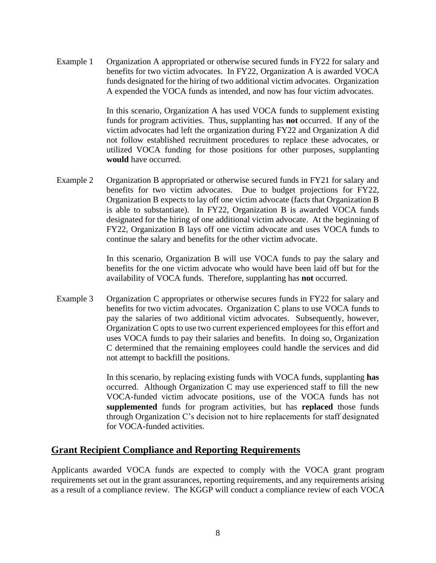Example 1 Organization A appropriated or otherwise secured funds in FY22 for salary and benefits for two victim advocates. In FY22, Organization A is awarded VOCA funds designated for the hiring of two additional victim advocates. Organization A expended the VOCA funds as intended, and now has four victim advocates.

> In this scenario, Organization A has used VOCA funds to supplement existing funds for program activities. Thus, supplanting has **not** occurred. If any of the victim advocates had left the organization during FY22 and Organization A did not follow established recruitment procedures to replace these advocates, or utilized VOCA funding for those positions for other purposes, supplanting **would** have occurred.

Example 2 Organization B appropriated or otherwise secured funds in FY21 for salary and benefits for two victim advocates. Due to budget projections for FY22, Organization B expects to lay off one victim advocate (facts that Organization B is able to substantiate). In FY22, Organization B is awarded VOCA funds designated for the hiring of one additional victim advocate. At the beginning of FY22, Organization B lays off one victim advocate and uses VOCA funds to continue the salary and benefits for the other victim advocate.

> In this scenario, Organization B will use VOCA funds to pay the salary and benefits for the one victim advocate who would have been laid off but for the availability of VOCA funds. Therefore, supplanting has **not** occurred.

Example 3 Organization C appropriates or otherwise secures funds in FY22 for salary and benefits for two victim advocates. Organization C plans to use VOCA funds to pay the salaries of two additional victim advocates. Subsequently, however, Organization C opts to use two current experienced employees for this effort and uses VOCA funds to pay their salaries and benefits. In doing so, Organization C determined that the remaining employees could handle the services and did not attempt to backfill the positions.

> In this scenario, by replacing existing funds with VOCA funds, supplanting **has** occurred. Although Organization C may use experienced staff to fill the new VOCA-funded victim advocate positions, use of the VOCA funds has not **supplemented** funds for program activities, but has **replaced** those funds through Organization C's decision not to hire replacements for staff designated for VOCA-funded activities.

#### **Grant Recipient Compliance and Reporting Requirements**

Applicants awarded VOCA funds are expected to comply with the VOCA grant program requirements set out in the grant assurances, reporting requirements, and any requirements arising as a result of a compliance review. The KGGP will conduct a compliance review of each VOCA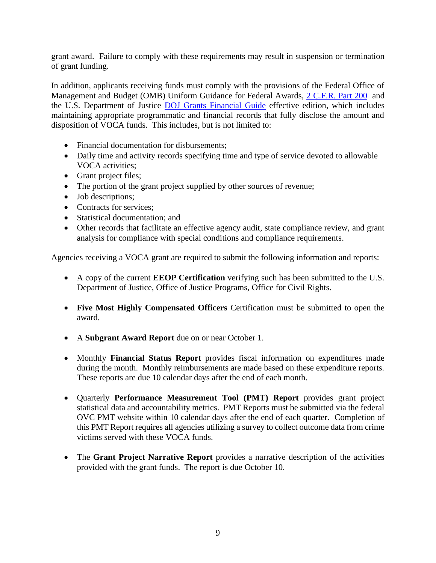grant award. Failure to comply with these requirements may result in suspension or termination of grant funding.

In addition, applicants receiving funds must comply with the provisions of the Federal Office of Management and Budget (OMB) Uniform Guidance for Federal Awards, [2 C.F.R. Part 200](http://www.ecfr.gov/cgi-bin/text-idx?SID=2c6d1c9f8de1f9619110b4599d84a234&mc=true&node=pt2.1.200&rgn=div5#_top) and the U.S. Department of Justice [DOJ Grants Financial Guide](http://ojp.gov/financialguide/DOJ/index.htm) effective edition, which includes maintaining appropriate programmatic and financial records that fully disclose the amount and disposition of VOCA funds. This includes, but is not limited to:

- Financial documentation for disbursements;
- Daily time and activity records specifying time and type of service devoted to allowable VOCA activities;
- Grant project files;
- The portion of the grant project supplied by other sources of revenue;
- Job descriptions;
- Contracts for services;
- Statistical documentation: and
- Other records that facilitate an effective agency audit, state compliance review, and grant analysis for compliance with special conditions and compliance requirements.

Agencies receiving a VOCA grant are required to submit the following information and reports:

- A copy of the current **EEOP Certification** verifying such has been submitted to the U.S. Department of Justice, Office of Justice Programs, Office for Civil Rights.
- **Five Most Highly Compensated Officers** Certification must be submitted to open the award.
- A **Subgrant Award Report** due on or near October 1.
- Monthly **Financial Status Report** provides fiscal information on expenditures made during the month. Monthly reimbursements are made based on these expenditure reports. These reports are due 10 calendar days after the end of each month.
- Quarterly **Performance Measurement Tool (PMT) Report** provides grant project statistical data and accountability metrics. PMT Reports must be submitted via the federal OVC PMT website within 10 calendar days after the end of each quarter. Completion of this PMT Report requires all agencies utilizing a survey to collect outcome data from crime victims served with these VOCA funds.
- The **Grant Project Narrative Report** provides a narrative description of the activities provided with the grant funds. The report is due October 10.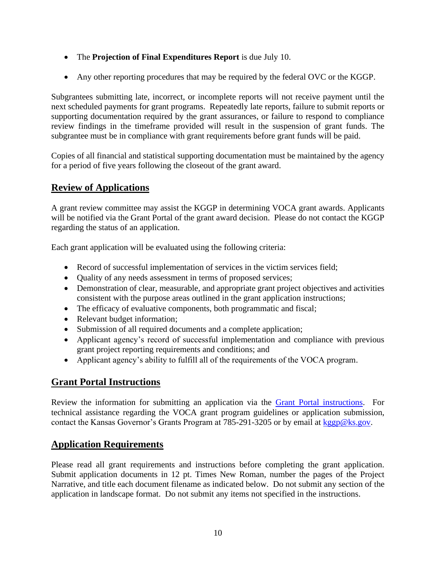- The **Projection of Final Expenditures Report** is due July 10.
- Any other reporting procedures that may be required by the federal OVC or the KGGP.

Subgrantees submitting late, incorrect, or incomplete reports will not receive payment until the next scheduled payments for grant programs. Repeatedly late reports, failure to submit reports or supporting documentation required by the grant assurances, or failure to respond to compliance review findings in the timeframe provided will result in the suspension of grant funds. The subgrantee must be in compliance with grant requirements before grant funds will be paid.

Copies of all financial and statistical supporting documentation must be maintained by the agency for a period of five years following the closeout of the grant award.

# **Review of Applications**

A grant review committee may assist the KGGP in determining VOCA grant awards. Applicants will be notified via the Grant Portal of the grant award decision. Please do not contact the KGGP regarding the status of an application.

Each grant application will be evaluated using the following criteria:

- Record of successful implementation of services in the victim services field;
- Ouality of any needs assessment in terms of proposed services;
- Demonstration of clear, measurable, and appropriate grant project objectives and activities consistent with the purpose areas outlined in the grant application instructions;
- The efficacy of evaluative components, both programmatic and fiscal;
- Relevant budget information;
- Submission of all required documents and a complete application;
- Applicant agency's record of successful implementation and compliance with previous grant project reporting requirements and conditions; and
- Applicant agency's ability to fulfill all of the requirements of the VOCA program.

# **Grant Portal Instructions**

Review the information for submitting an application via the [Grant Portal instructions.](http://grants.ks.gov/docs/default-source/how-to-guides/application-portal-instructions.pdf?sfvrsn=4) For technical assistance regarding the VOCA grant program guidelines or application submission, contact the Kansas Governor's Grants Program at 785-291-3205 or by email at [kggp@ks.gov.](mailto:kggp@ks.gov)

# **Application Requirements**

Please read all grant requirements and instructions before completing the grant application. Submit application documents in 12 pt. Times New Roman, number the pages of the Project Narrative, and title each document filename as indicated below. Do not submit any section of the application in landscape format. Do not submit any items not specified in the instructions.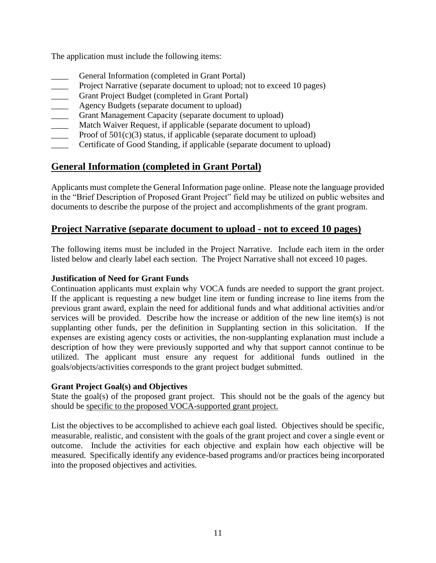The application must include the following items:

- General Information (completed in Grant Portal)
- **EXECUTE:** Project Narrative (separate document to upload; not to exceed 10 pages)
- Grant Project Budget (completed in Grant Portal)
- Agency Budgets (separate document to upload)
- Grant Management Capacity (separate document to upload)
- Match Waiver Request, if applicable (separate document to upload)
- Proof of  $501(c)(3)$  status, if applicable (separate document to upload)
- Certificate of Good Standing, if applicable (separate document to upload)

# **General Information (completed in Grant Portal)**

Applicants must complete the General Information page online. Please note the language provided in the "Brief Description of Proposed Grant Project" field may be utilized on public websites and documents to describe the purpose of the project and accomplishments of the grant program.

#### **Project Narrative (separate document to upload - not to exceed 10 pages)**

The following items must be included in the Project Narrative. Include each item in the order listed below and clearly label each section. The Project Narrative shall not exceed 10 pages.

#### **Justification of Need for Grant Funds**

Continuation applicants must explain why VOCA funds are needed to support the grant project. If the applicant is requesting a new budget line item or funding increase to line items from the previous grant award, explain the need for additional funds and what additional activities and/or services will be provided. Describe how the increase or addition of the new line item(s) is not supplanting other funds, per the definition in Supplanting section in this solicitation. If the expenses are existing agency costs or activities, the non-supplanting explanation must include a description of how they were previously supported and why that support cannot continue to be utilized. The applicant must ensure any request for additional funds outlined in the goals/objects/activities corresponds to the grant project budget submitted.

#### **Grant Project Goal(s) and Objectives**

State the goal(s) of the proposed grant project. This should not be the goals of the agency but should be specific to the proposed VOCA-supported grant project.

List the objectives to be accomplished to achieve each goal listed. Objectives should be specific, measurable, realistic, and consistent with the goals of the grant project and cover a single event or outcome. Include the activities for each objective and explain how each objective will be measured. Specifically identify any evidence-based programs and/or practices being incorporated into the proposed objectives and activities.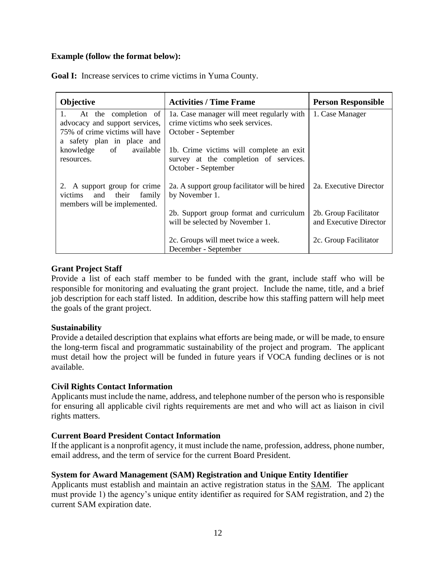#### **Example (follow the format below):**

| Objective                                                    | <b>Activities / Time Frame</b>                                                   | <b>Person Responsible</b>                       |  |
|--------------------------------------------------------------|----------------------------------------------------------------------------------|-------------------------------------------------|--|
| At the completion of<br>1.<br>advocacy and support services, | 1a. Case manager will meet regularly with<br>crime victims who seek services.    | 1. Case Manager                                 |  |
| 75% of crime victims will have                               | October - September                                                              |                                                 |  |
| a safety plan in place and                                   |                                                                                  |                                                 |  |
| knowledge of available<br>resources.                         | 1b. Crime victims will complete an exit<br>survey at the completion of services. |                                                 |  |
|                                                              | October - September                                                              |                                                 |  |
| 2. A support group for crime<br>victims and their family     | 2a. A support group facilitator will be hired<br>by November 1.                  | 2a. Executive Director                          |  |
| members will be implemented.                                 | 2b. Support group format and curriculum<br>will be selected by November 1.       | 2b. Group Facilitator<br>and Executive Director |  |
|                                                              | 2c. Groups will meet twice a week.<br>December - September                       | 2c. Group Facilitator                           |  |

**Goal I:** Increase services to crime victims in Yuma County.

#### **Grant Project Staff**

Provide a list of each staff member to be funded with the grant, include staff who will be responsible for monitoring and evaluating the grant project. Include the name, title, and a brief job description for each staff listed. In addition, describe how this staffing pattern will help meet the goals of the grant project.

#### **Sustainability**

Provide a detailed description that explains what efforts are being made, or will be made, to ensure the long-term fiscal and programmatic sustainability of the project and program. The applicant must detail how the project will be funded in future years if VOCA funding declines or is not available.

#### **Civil Rights Contact Information**

Applicants must include the name, address, and telephone number of the person who is responsible for ensuring all applicable civil rights requirements are met and who will act as liaison in civil rights matters.

#### **Current Board President Contact Information**

If the applicant is a nonprofit agency, it must include the name, profession, address, phone number, email address, and the term of service for the current Board President.

#### **System for Award Management (SAM) Registration and Unique Entity Identifier**

Applicants must establish and maintain an active registration status in the [SAM.](http://www.sam.gov/) The applicant must provide 1) the agency's unique entity identifier as required for SAM registration, and 2) the current SAM expiration date.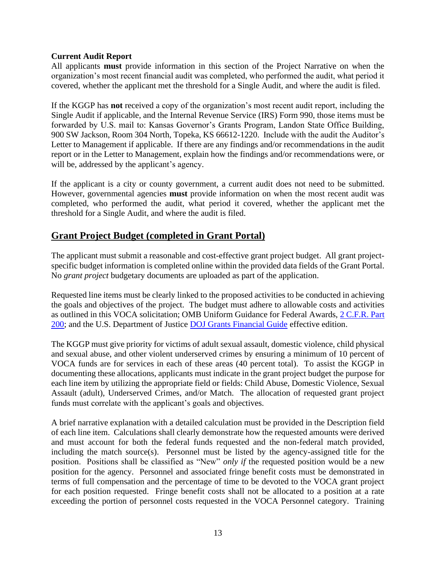#### **Current Audit Report**

All applicants **must** provide information in this section of the Project Narrative on when the organization's most recent financial audit was completed, who performed the audit, what period it covered, whether the applicant met the threshold for a Single Audit, and where the audit is filed.

If the KGGP has **not** received a copy of the organization's most recent audit report, including the Single Audit if applicable, and the Internal Revenue Service (IRS) Form 990, those items must be forwarded by U.S. mail to: Kansas Governor's Grants Program, Landon State Office Building, 900 SW Jackson, Room 304 North, Topeka, KS 66612-1220. Include with the audit the Auditor's Letter to Management if applicable. If there are any findings and/or recommendations in the audit report or in the Letter to Management, explain how the findings and/or recommendations were, or will be, addressed by the applicant's agency.

If the applicant is a city or county government, a current audit does not need to be submitted. However, governmental agencies **must** provide information on when the most recent audit was completed, who performed the audit, what period it covered, whether the applicant met the threshold for a Single Audit, and where the audit is filed.

# **Grant Project Budget (completed in Grant Portal)**

The applicant must submit a reasonable and cost-effective grant project budget. All grant projectspecific budget information is completed online within the provided data fields of the Grant Portal. No *grant project* budgetary documents are uploaded as part of the application.

Requested line items must be clearly linked to the proposed activities to be conducted in achieving the goals and objectives of the project. The budget must adhere to allowable costs and activities as outlined in this VOCA solicitation; OMB Uniform Guidance for Federal Awards, [2 C.F.R. Part](http://www.ecfr.gov/cgi-bin/text-idx?SID=2c6d1c9f8de1f9619110b4599d84a234&mc=true&node=pt2.1.200&rgn=div5#_top)  [200;](http://www.ecfr.gov/cgi-bin/text-idx?SID=2c6d1c9f8de1f9619110b4599d84a234&mc=true&node=pt2.1.200&rgn=div5#_top) and the U.S. Department of Justice [DOJ Grants Financial Guide](http://ojp.gov/financialguide/DOJ/index.htm) effective edition.

The KGGP must give priority for victims of adult sexual assault, domestic violence, child physical and sexual abuse, and other violent underserved crimes by ensuring a minimum of 10 percent of VOCA funds are for services in each of these areas (40 percent total). To assist the KGGP in documenting these allocations, applicants must indicate in the grant project budget the purpose for each line item by utilizing the appropriate field or fields: Child Abuse, Domestic Violence, Sexual Assault (adult), Underserved Crimes, and/or Match. The allocation of requested grant project funds must correlate with the applicant's goals and objectives.

A brief narrative explanation with a detailed calculation must be provided in the Description field of each line item. Calculations shall clearly demonstrate how the requested amounts were derived and must account for both the federal funds requested and the non-federal match provided, including the match source(s). Personnel must be listed by the agency-assigned title for the position. Positions shall be classified as "New" *only if* the requested position would be a new position for the agency. Personnel and associated fringe benefit costs must be demonstrated in terms of full compensation and the percentage of time to be devoted to the VOCA grant project for each position requested. Fringe benefit costs shall not be allocated to a position at a rate exceeding the portion of personnel costs requested in the VOCA Personnel category. Training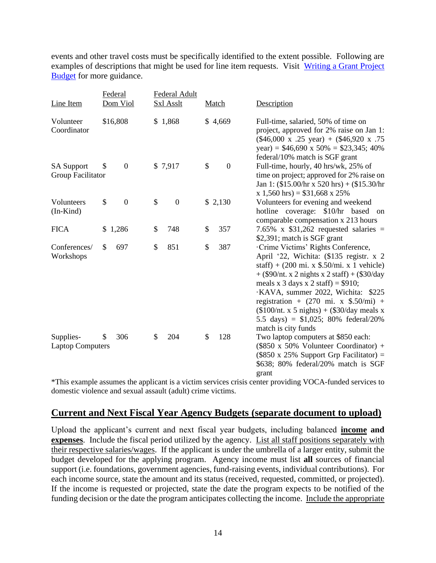events and other travel costs must be specifically identified to the extent possible. Following are examples of descriptions that might be used for line item requests. Visit [Writing a Grant Project](https://grants.ks.gov/docs/default-source/how-to-guides/writing-a-grant-project-budget-guide.pdf?sfvrsn=2d1f541a_4)  [Budget](https://grants.ks.gov/docs/default-source/how-to-guides/writing-a-grant-project-budget-guide.pdf?sfvrsn=2d1f541a_4) for more guidance.

| Line Item                              | Federal<br>Dom Viol    | Federal Adult<br><b>Sxl Asslt</b> | Match                | Description                                                                                                                                                                                                                                                                                                                                                                                                                                                        |
|----------------------------------------|------------------------|-----------------------------------|----------------------|--------------------------------------------------------------------------------------------------------------------------------------------------------------------------------------------------------------------------------------------------------------------------------------------------------------------------------------------------------------------------------------------------------------------------------------------------------------------|
| Volunteer<br>Coordinator               | \$16,808               | \$1,868                           | \$4,669              | Full-time, salaried, 50% of time on<br>project, approved for 2% raise on Jan 1:<br>$(\$46,000 \times .25 \text{ year}) + (\$46,920 \times .75)$<br>year) = $$46,690 \times 50\% = $23,345; 40\%$<br>federal/10% match is SGF grant                                                                                                                                                                                                                                 |
| <b>SA Support</b><br>Group Facilitator | $\boldsymbol{0}$<br>\$ | \$7,917                           | \$<br>$\overline{0}$ | Full-time, hourly, 40 hrs/wk, 25% of<br>time on project; approved for 2% raise on<br>Jan 1: $(\$15.00/hr \times 520 hrs) + (\$15.30/hr$<br>$x 1,560$ hrs) = \$31,668 x 25%                                                                                                                                                                                                                                                                                         |
| Volunteers<br>$(In-Kind)$              | \$<br>$\boldsymbol{0}$ | \$<br>$\overline{0}$              | \$2,130              | Volunteers for evening and weekend<br>hotline coverage: \$10/hr based<br>on<br>comparable compensation x 213 hours                                                                                                                                                                                                                                                                                                                                                 |
| <b>FICA</b>                            | \$1,286                | \$<br>748                         | \$<br>357            | 7.65% x $$31,262$ requested salaries =<br>\$2,391; match is SGF grant                                                                                                                                                                                                                                                                                                                                                                                              |
| Conferences/<br>Workshops              | \$<br>697              | \$<br>851                         | \$<br>387            | Crime Victims' Rights Conference,<br>April '22, Wichita: (\$135 registr. x 2)<br>staff) + $(200 \text{ mi. x } $.50/\text{mi. x } 1 \text{ vehicle})$<br>+ $(\$90/nt. x 2$ nights x 2 staff) + $(\$30/day)$<br>meals x 3 days x 2 staff) = $$910;$<br>·KAVA, summer 2022, Wichita: \$225<br>registration + $(270 \text{ mi. x } $.50/\text{mi})$ +<br>$($100/nt. x 5 nights) + ($30/day meals x)$<br>5.5 days) = $$1,025$ ; 80% federal/20%<br>match is city funds |
| Supplies-<br><b>Laptop Computers</b>   | 306<br>\$              | \$<br>204                         | \$<br>128            | Two laptop computers at \$850 each:<br>$(\$850 \times 50\%$ Volunteer Coordinator) +<br>$($850 \times 25\%$ Support Grp Facilitator) =<br>\$638; 80% federal/20% match is SGF<br>grant                                                                                                                                                                                                                                                                             |

\*This example assumes the applicant is a victim services crisis center providing VOCA-funded services to domestic violence and sexual assault (adult) crime victims.

# **Current and Next Fiscal Year Agency Budgets (separate document to upload)**

Upload the applicant's current and next fiscal year budgets, including balanced **income and expenses**. Include the fiscal period utilized by the agency. List all staff positions separately with their respective salaries/wages. If the applicant is under the umbrella of a larger entity, submit the budget developed for the applying program. Agency income must list **all** sources of financial support (i.e. foundations, government agencies, fund-raising events, individual contributions). For each income source, state the amount and its status (received, requested, committed, or projected). If the income is requested or projected, state the date the program expects to be notified of the funding decision or the date the program anticipates collecting the income. Include the appropriate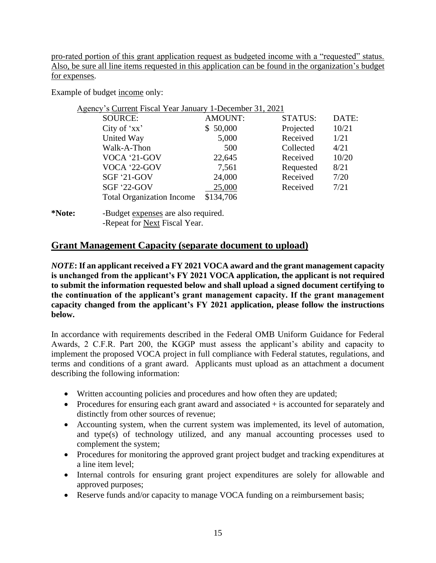pro-rated portion of this grant application request as budgeted income with a "requested" status. Also, be sure all line items requested in this application can be found in the organization's budget for expenses.

Example of budget income only:

|        | Agency's Current Fiscal Year January 1-December 31, 2021 |                |                |       |
|--------|----------------------------------------------------------|----------------|----------------|-------|
|        | <b>SOURCE:</b>                                           | <b>AMOUNT:</b> | <b>STATUS:</b> | DATE: |
|        | City of $'xx'$                                           | \$50,000       | Projected      | 10/21 |
|        | United Way                                               | 5,000          | Received       | 1/21  |
|        | Walk-A-Thon                                              | 500            | Collected      | 4/21  |
|        | VOCA '21-GOV                                             | 22,645         | Received       | 10/20 |
|        | VOCA '22-GOV                                             | 7,561          | Requested      | 8/21  |
|        | <b>SGF '21-GOV</b>                                       | 24,000         | Received       | 7/20  |
|        | <b>SGF '22-GOV</b>                                       | 25,000         | Received       | 7/21  |
|        | <b>Total Organization Income</b>                         | \$134,706      |                |       |
| *Note: | -Budget expenses are also required.                      |                |                |       |

-Repeat for Next Fiscal Year.

#### **Grant Management Capacity (separate document to upload)**

*NOTE***: If an applicant received a FY 2021 VOCA award and the grant management capacity is unchanged from the applicant's FY 2021 VOCA application, the applicant is not required to submit the information requested below and shall upload a signed document certifying to the continuation of the applicant's grant management capacity. If the grant management capacity changed from the applicant's FY 2021 application, please follow the instructions below.**

In accordance with requirements described in the Federal OMB Uniform Guidance for Federal Awards, 2 C.F.R. Part 200, the KGGP must assess the applicant's ability and capacity to implement the proposed VOCA project in full compliance with Federal statutes, regulations, and terms and conditions of a grant award. Applicants must upload as an attachment a document describing the following information:

- Written accounting policies and procedures and how often they are updated;
- Procedures for ensuring each grant award and associated  $+$  is accounted for separately and distinctly from other sources of revenue;
- Accounting system, when the current system was implemented, its level of automation, and type(s) of technology utilized, and any manual accounting processes used to complement the system;
- Procedures for monitoring the approved grant project budget and tracking expenditures at a line item level;
- Internal controls for ensuring grant project expenditures are solely for allowable and approved purposes;
- Reserve funds and/or capacity to manage VOCA funding on a reimbursement basis;